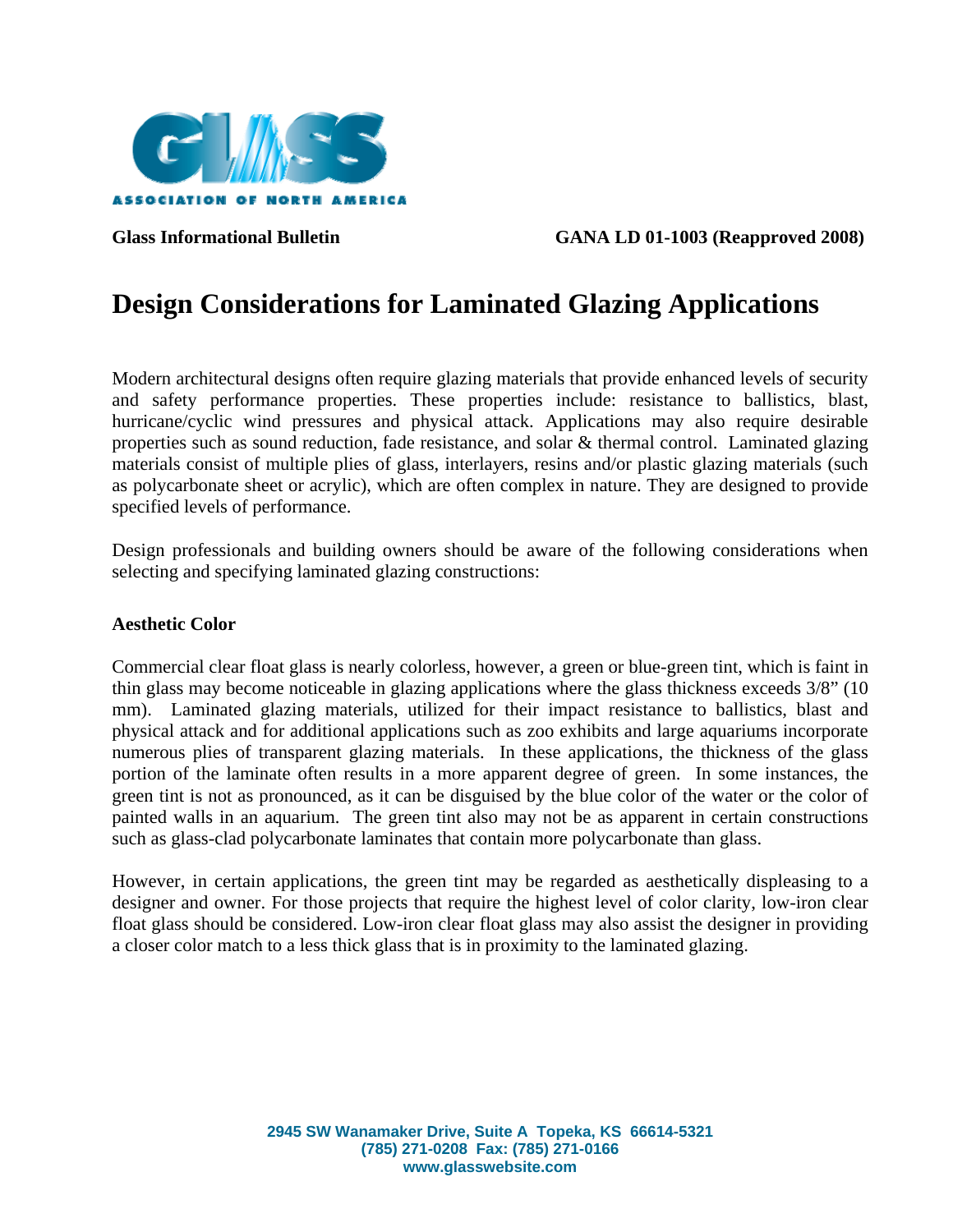

Glass Informational Bulletin GANA LD 01-1003 (Reapproved 2008)

# **Design Considerations for Laminated Glazing Applications**

Modern architectural designs often require glazing materials that provide enhanced levels of security and safety performance properties. These properties include: resistance to ballistics, blast, hurricane/cyclic wind pressures and physical attack. Applications may also require desirable properties such as sound reduction, fade resistance, and solar & thermal control. Laminated glazing materials consist of multiple plies of glass, interlayers, resins and/or plastic glazing materials (such as polycarbonate sheet or acrylic), which are often complex in nature. They are designed to provide specified levels of performance.

Design professionals and building owners should be aware of the following considerations when selecting and specifying laminated glazing constructions:

#### **Aesthetic Color**

Commercial clear float glass is nearly colorless, however, a green or blue-green tint, which is faint in thin glass may become noticeable in glazing applications where the glass thickness exceeds 3/8" (10 mm). Laminated glazing materials, utilized for their impact resistance to ballistics, blast and physical attack and for additional applications such as zoo exhibits and large aquariums incorporate numerous plies of transparent glazing materials. In these applications, the thickness of the glass portion of the laminate often results in a more apparent degree of green. In some instances, the green tint is not as pronounced, as it can be disguised by the blue color of the water or the color of painted walls in an aquarium. The green tint also may not be as apparent in certain constructions such as glass-clad polycarbonate laminates that contain more polycarbonate than glass.

However, in certain applications, the green tint may be regarded as aesthetically displeasing to a designer and owner. For those projects that require the highest level of color clarity, low-iron clear float glass should be considered. Low-iron clear float glass may also assist the designer in providing a closer color match to a less thick glass that is in proximity to the laminated glazing.

> **2945 SW Wanamaker Drive, Suite A Topeka, KS 66614-5321 (785) 271-0208 Fax: (785) 271-0166 www.glasswebsite.com**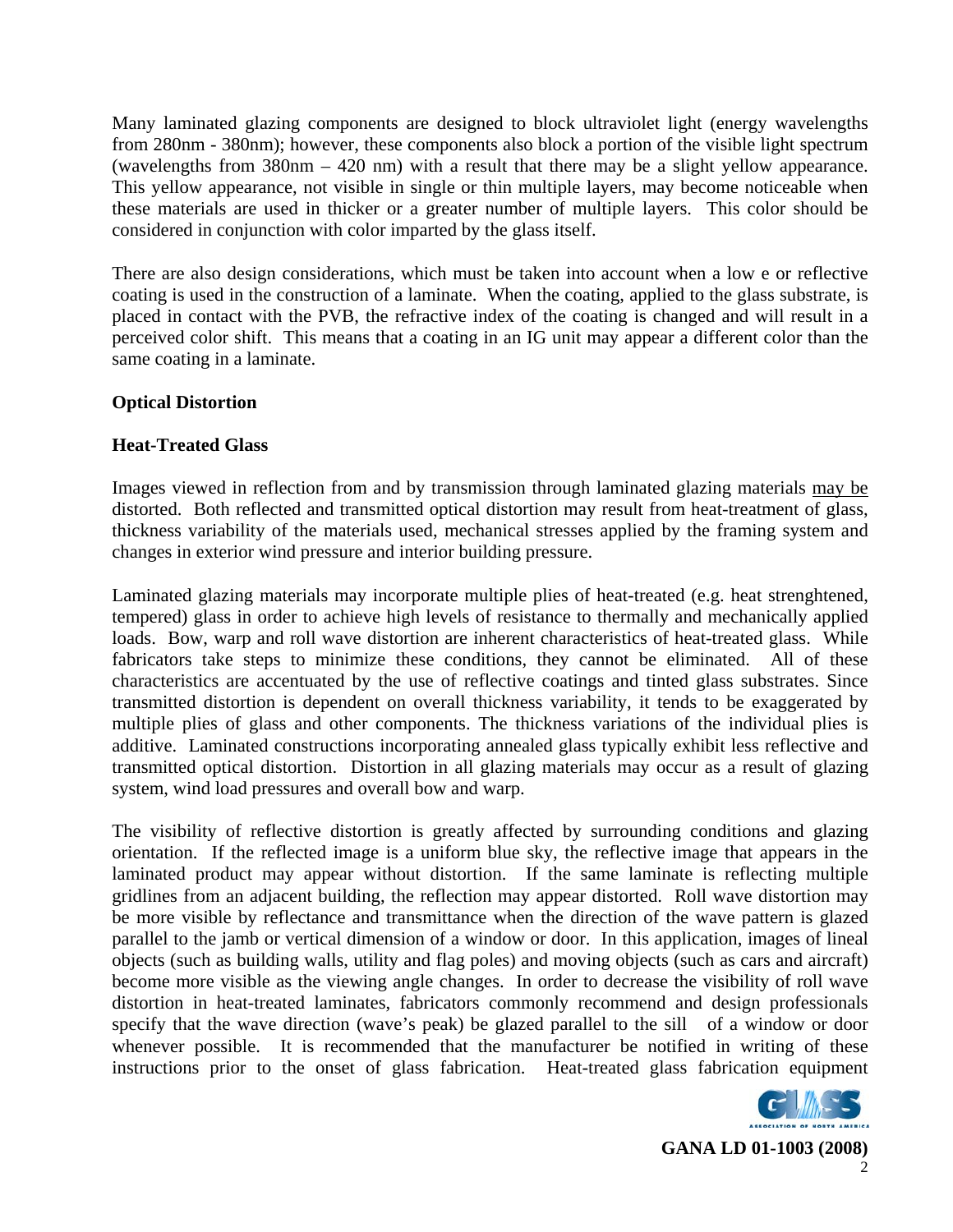Many laminated glazing components are designed to block ultraviolet light (energy wavelengths from 280nm - 380nm); however, these components also block a portion of the visible light spectrum (wavelengths from 380nm – 420 nm) with a result that there may be a slight yellow appearance. This yellow appearance, not visible in single or thin multiple layers, may become noticeable when these materials are used in thicker or a greater number of multiple layers. This color should be considered in conjunction with color imparted by the glass itself.

There are also design considerations, which must be taken into account when a low e or reflective coating is used in the construction of a laminate. When the coating, applied to the glass substrate, is placed in contact with the PVB, the refractive index of the coating is changed and will result in a perceived color shift. This means that a coating in an IG unit may appear a different color than the same coating in a laminate.

# **Optical Distortion**

# **Heat-Treated Glass**

Images viewed in reflection from and by transmission through laminated glazing materials may be distorted. Both reflected and transmitted optical distortion may result from heat-treatment of glass, thickness variability of the materials used, mechanical stresses applied by the framing system and changes in exterior wind pressure and interior building pressure.

Laminated glazing materials may incorporate multiple plies of heat-treated (e.g. heat strenghtened, tempered) glass in order to achieve high levels of resistance to thermally and mechanically applied loads. Bow, warp and roll wave distortion are inherent characteristics of heat-treated glass. While fabricators take steps to minimize these conditions, they cannot be eliminated. All of these characteristics are accentuated by the use of reflective coatings and tinted glass substrates. Since transmitted distortion is dependent on overall thickness variability, it tends to be exaggerated by multiple plies of glass and other components. The thickness variations of the individual plies is additive. Laminated constructions incorporating annealed glass typically exhibit less reflective and transmitted optical distortion. Distortion in all glazing materials may occur as a result of glazing system, wind load pressures and overall bow and warp.

The visibility of reflective distortion is greatly affected by surrounding conditions and glazing orientation. If the reflected image is a uniform blue sky, the reflective image that appears in the laminated product may appear without distortion. If the same laminate is reflecting multiple gridlines from an adjacent building, the reflection may appear distorted. Roll wave distortion may be more visible by reflectance and transmittance when the direction of the wave pattern is glazed parallel to the jamb or vertical dimension of a window or door. In this application, images of lineal objects (such as building walls, utility and flag poles) and moving objects (such as cars and aircraft) become more visible as the viewing angle changes. In order to decrease the visibility of roll wave distortion in heat-treated laminates, fabricators commonly recommend and design professionals specify that the wave direction (wave's peak) be glazed parallel to the sill of a window or door whenever possible. It is recommended that the manufacturer be notified in writing of these instructions prior to the onset of glass fabrication. Heat-treated glass fabrication equipment

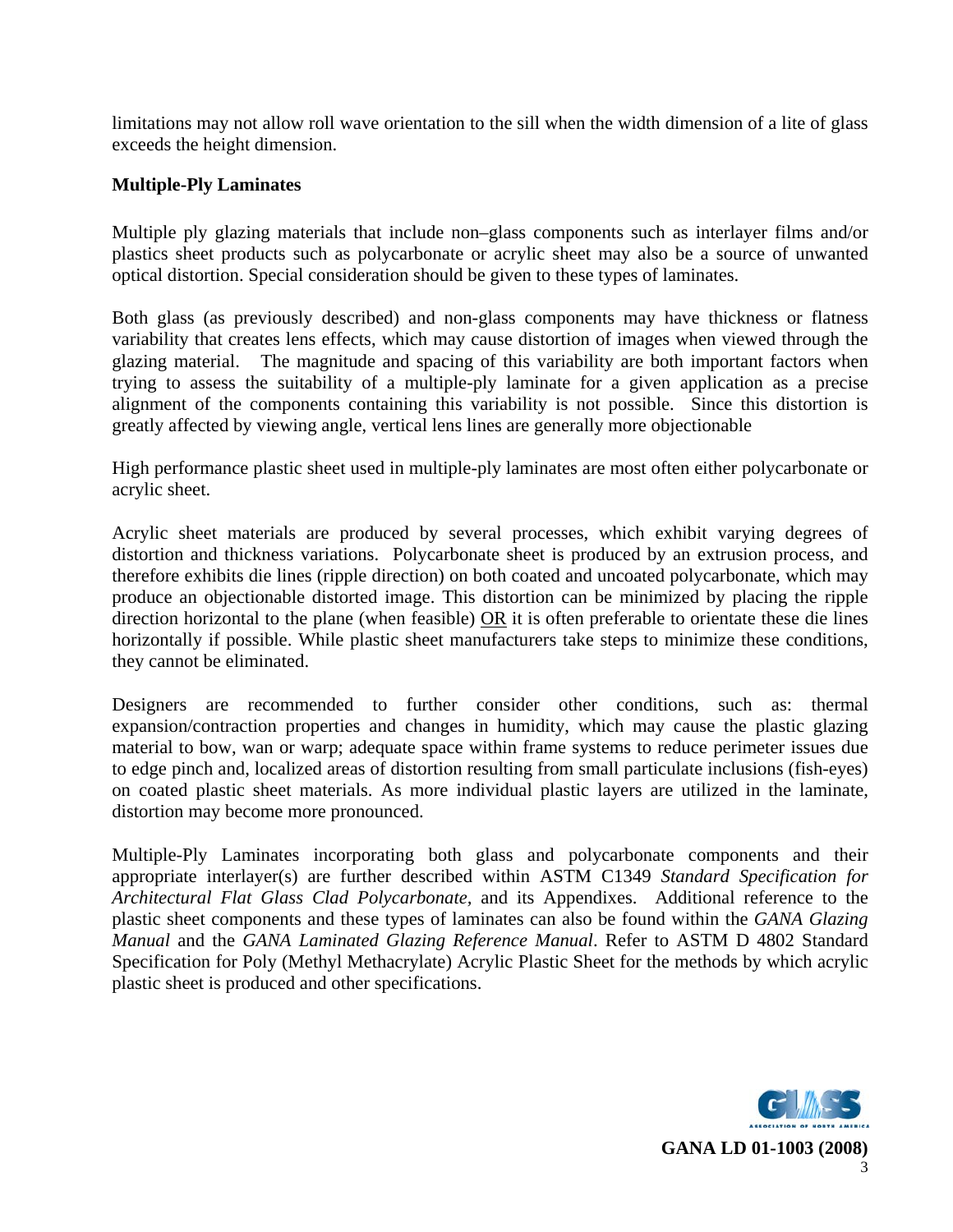limitations may not allow roll wave orientation to the sill when the width dimension of a lite of glass exceeds the height dimension.

## **Multiple-Ply Laminates**

Multiple ply glazing materials that include non–glass components such as interlayer films and/or plastics sheet products such as polycarbonate or acrylic sheet may also be a source of unwanted optical distortion. Special consideration should be given to these types of laminates.

Both glass (as previously described) and non-glass components may have thickness or flatness variability that creates lens effects, which may cause distortion of images when viewed through the glazing material. The magnitude and spacing of this variability are both important factors when trying to assess the suitability of a multiple-ply laminate for a given application as a precise alignment of the components containing this variability is not possible. Since this distortion is greatly affected by viewing angle, vertical lens lines are generally more objectionable

High performance plastic sheet used in multiple-ply laminates are most often either polycarbonate or acrylic sheet.

Acrylic sheet materials are produced by several processes, which exhibit varying degrees of distortion and thickness variations. Polycarbonate sheet is produced by an extrusion process, and therefore exhibits die lines (ripple direction) on both coated and uncoated polycarbonate, which may produce an objectionable distorted image. This distortion can be minimized by placing the ripple direction horizontal to the plane (when feasible) OR it is often preferable to orientate these die lines horizontally if possible. While plastic sheet manufacturers take steps to minimize these conditions, they cannot be eliminated.

Designers are recommended to further consider other conditions, such as: thermal expansion/contraction properties and changes in humidity, which may cause the plastic glazing material to bow, wan or warp; adequate space within frame systems to reduce perimeter issues due to edge pinch and, localized areas of distortion resulting from small particulate inclusions (fish-eyes) on coated plastic sheet materials. As more individual plastic layers are utilized in the laminate, distortion may become more pronounced.

Multiple-Ply Laminates incorporating both glass and polycarbonate components and their appropriate interlayer(s) are further described within ASTM C1349 *Standard Specification for Architectural Flat Glass Clad Polycarbonate,* and its Appendixes. Additional reference to the plastic sheet components and these types of laminates can also be found within the *GANA Glazing Manual* and the *GANA Laminated Glazing Reference Manual*. Refer to ASTM D 4802 Standard Specification for Poly (Methyl Methacrylate) Acrylic Plastic Sheet for the methods by which acrylic plastic sheet is produced and other specifications.